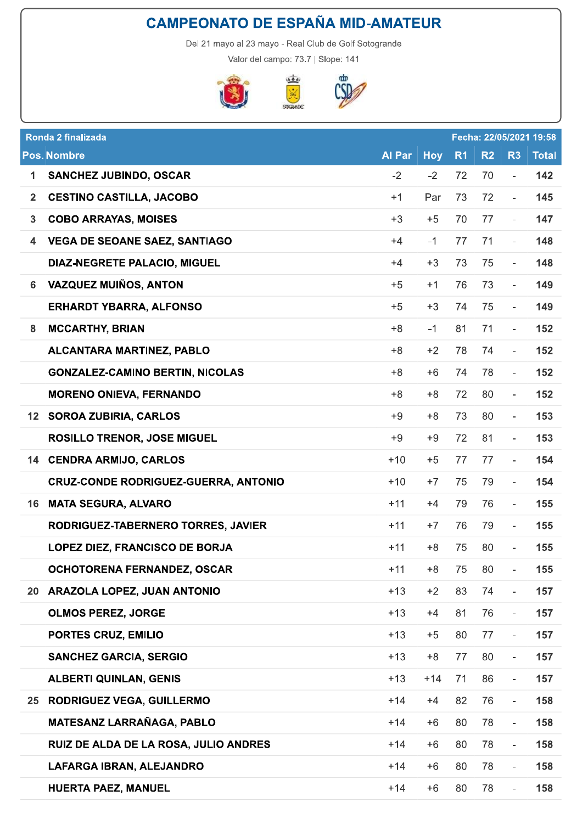



| <b>CAMPEONATO DE ESPAÑA MID-AMATEUR</b> |                                                       |  |               |            |                |                |                          |                         |  |  |
|-----------------------------------------|-------------------------------------------------------|--|---------------|------------|----------------|----------------|--------------------------|-------------------------|--|--|
|                                         | Del 21 mayo al 23 mayo - Real Club de Golf Sotogrande |  |               |            |                |                |                          |                         |  |  |
|                                         | Valor del campo: 73.7   Slope: 141                    |  |               |            |                |                |                          |                         |  |  |
|                                         | 580,                                                  |  |               |            |                |                |                          |                         |  |  |
|                                         |                                                       |  |               |            |                |                |                          |                         |  |  |
|                                         | Ronda 2 finalizada                                    |  |               |            |                |                |                          | Fecha: 22/05/2021 19:58 |  |  |
|                                         | <b>Pos. Nombre</b>                                    |  | <b>Al Par</b> | <b>Hoy</b> | R <sub>1</sub> | R <sub>2</sub> | R <sub>3</sub>           | <b>Total</b>            |  |  |
| 1                                       | <b>SANCHEZ JUBINDO, OSCAR</b>                         |  | $-2$          | $-2$       | 72             | 70             | Ξ.                       | 142                     |  |  |
| $\overline{2}$                          | <b>CESTINO CASTILLA, JACOBO</b>                       |  | $+1$          | Par        | 73             | 72             | $\overline{\phantom{a}}$ | 145                     |  |  |
| 3                                       | <b>COBO ARRAYAS, MOISES</b>                           |  | $+3$          | $+5$       | 70             | 77             | $\overline{\phantom{a}}$ | 147                     |  |  |
| 4                                       | <b>VEGA DE SEOANE SAEZ, SANTIAGO</b>                  |  | $+4$          | $-1$       | 77             | 71             | $\overline{\phantom{a}}$ | 148                     |  |  |
|                                         | <b>DIAZ-NEGRETE PALACIO, MIGUEL</b>                   |  | $+4$          | $+3$       | 73             | 75             | $-$                      | 148                     |  |  |
| 6                                       | <b>VAZQUEZ MUIÑOS, ANTON</b>                          |  | $+5$          | $+1$       | 76             | 73             | $\overline{\phantom{a}}$ | 149                     |  |  |
|                                         | <b>ERHARDT YBARRA, ALFONSO</b>                        |  | $+5$          | $+3$       | 74             | 75             | $\overline{\phantom{0}}$ | 149                     |  |  |
| 8                                       | <b>MCCARTHY, BRIAN</b>                                |  | +8            | $-1$       | 81             | 71             | $\overline{\phantom{0}}$ | 152                     |  |  |
|                                         | ALCANTARA MARTINEZ, PABLO                             |  | +8            | $+2$       | 78             | 74             | $\overline{\phantom{a}}$ | 152                     |  |  |
|                                         | <b>GONZALEZ-CAMINO BERTIN, NICOLAS</b>                |  | $+8$          | $+6$       | 74             | 78             | $\overline{\phantom{0}}$ | 152                     |  |  |
|                                         | <b>MORENO ONIEVA, FERNANDO</b>                        |  | $+8$          | +8         | 72             | 80             |                          | 152                     |  |  |
|                                         | 12 SOROA ZUBIRIA, CARLOS                              |  | $+9$          | $+8$       | 73             | 80             | $\overline{\phantom{a}}$ | 153                     |  |  |
|                                         | <b>ROSILLO TRENOR, JOSE MIGUEL</b>                    |  | $+9$          | $+9$       | 72             | 81             | $\overline{\phantom{a}}$ | 153                     |  |  |
| 14                                      | <b>CENDRA ARMIJO, CARLOS</b>                          |  | $+10$         | $+5$       | 77             | 77             | $\overline{\phantom{a}}$ | 154                     |  |  |
|                                         | <b>CRUZ-CONDE RODRIGUEZ-GUERRA, ANTONIO</b>           |  | $+10$         | $+7$       | 75             | 79             | ä,                       | 154                     |  |  |
| 16                                      | <b>MATA SEGURA, ALVARO</b>                            |  | $+11$         | $+4$       | 79             | 76             | $\blacksquare$           | 155                     |  |  |
|                                         | RODRIGUEZ-TABERNERO TORRES, JAVIER                    |  | $+11$         | $+7$       | 76             | 79             | $\overline{\phantom{a}}$ | 155                     |  |  |
|                                         | LOPEZ DIEZ, FRANCISCO DE BORJA                        |  | $+11$         | $+8$       | 75             | 80             | $\overline{\phantom{a}}$ | 155                     |  |  |
|                                         | OCHOTORENA FERNANDEZ, OSCAR                           |  | $+11$         | $+8$       | 75             | 80             | $\overline{\phantom{a}}$ | 155                     |  |  |
| 20                                      | <b>ARAZOLA LOPEZ, JUAN ANTONIO</b>                    |  | $+13$         | $+2$       | 83             | 74             | $\overline{\phantom{a}}$ | 157                     |  |  |
|                                         | <b>OLMOS PEREZ, JORGE</b>                             |  | $+13$         | $+4$       | 81             | 76             | $\overline{\phantom{a}}$ | 157                     |  |  |
|                                         | <b>PORTES CRUZ, EMILIO</b>                            |  | $+13$         | $+5$       | 80             | 77             | $\blacksquare$           | 157                     |  |  |
|                                         | <b>SANCHEZ GARCIA, SERGIO</b>                         |  | $+13$         | $+8$       | 77             | 80             | $\overline{\phantom{0}}$ | 157                     |  |  |
|                                         | <b>ALBERTI QUINLAN, GENIS</b>                         |  | $+13$         | $+14$      | 71             | 86             | $\overline{\phantom{a}}$ | 157                     |  |  |
| 25                                      | <b>RODRIGUEZ VEGA, GUILLERMO</b>                      |  | $+14$         | $+4$       | 82             | 76             | $\overline{\phantom{a}}$ | 158                     |  |  |
|                                         | <b>MATESANZ LARRAÑAGA, PABLO</b>                      |  | $+14$         | $+6$       | 80             | 78             | $\overline{\phantom{a}}$ | 158                     |  |  |
|                                         | <b>RUIZ DE ALDA DE LA ROSA, JULIO ANDRES</b>          |  | $+14$         | $+6$       | 80             | 78             | $\overline{\phantom{a}}$ | 158                     |  |  |
|                                         | LAFARGA IBRAN, ALEJANDRO                              |  | $+14$         | $+6$       | 80             | 78             | $\overline{\phantom{a}}$ | 158                     |  |  |
|                                         | HUERTA PAEZ, MANUEL                                   |  | $+14$         | $+6$       | 80             | 78             | $\overline{\phantom{a}}$ | 158                     |  |  |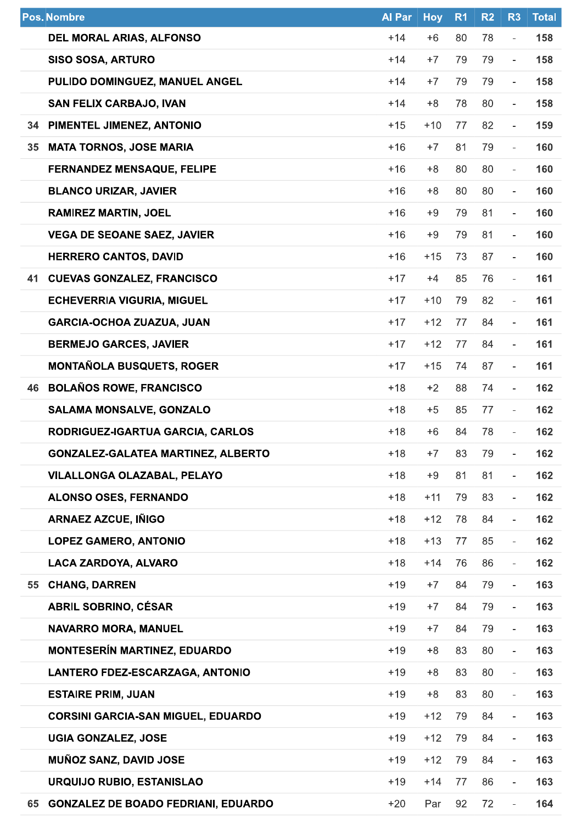|    | <b>Pos. Nombre</b>                         | <b>Al Par</b> | <b>Hoy</b> | R <sub>1</sub> | R <sub>2</sub> | R <sub>3</sub>           | <b>Total</b> |
|----|--------------------------------------------|---------------|------------|----------------|----------------|--------------------------|--------------|
|    | <b>DEL MORAL ARIAS, ALFONSO</b>            | $+14$         | $+6$       | 80             | 78             | $\overline{\phantom{a}}$ | 158          |
|    | <b>SISO SOSA, ARTURO</b>                   | $+14$         | $+7$       | 79             | 79             | $\overline{\phantom{0}}$ | 158          |
|    | PULIDO DOMINGUEZ, MANUEL ANGEL             | $+14$         | $+7$       | 79             | 79             | $\overline{\phantom{a}}$ | 158          |
|    | <b>SAN FELIX CARBAJO, IVAN</b>             | $+14$         | $+8$       | 78             | 80             | $\overline{\phantom{a}}$ | 158          |
|    | 34 PIMENTEL JIMENEZ, ANTONIO               | $+15$         | $+10$      | 77             | 82             | $\overline{\phantom{0}}$ | 159          |
| 35 | <b>MATA TORNOS, JOSE MARIA</b>             | $+16$         | $+7$       | 81             | 79             | ä,                       | 160          |
|    | <b>FERNANDEZ MENSAQUE, FELIPE</b>          | $+16$         | $+8$       | 80             | 80             | $\blacksquare$           | 160          |
|    | <b>BLANCO URIZAR, JAVIER</b>               | $+16$         | $+8$       | 80             | 80             | $\overline{\phantom{0}}$ | 160          |
|    | <b>RAMIREZ MARTIN, JOEL</b>                | $+16$         | +9         | 79             | 81             | $\bar{a}$                | 160          |
|    | <b>VEGA DE SEOANE SAEZ, JAVIER</b>         | $+16$         | $+9$       | 79             | 81             | $\overline{\phantom{a}}$ | 160          |
|    | <b>HERRERO CANTOS, DAVID</b>               | $+16$         | $+15$      | 73             | 87             | $\overline{\phantom{a}}$ | 160          |
| 41 | <b>CUEVAS GONZALEZ, FRANCISCO</b>          | $+17$         | $+4$       | 85             | 76             | $\overline{\phantom{a}}$ | 161          |
|    | <b>ECHEVERRIA VIGURIA, MIGUEL</b>          | $+17$         | $+10$      | 79             | 82             | $\overline{\phantom{a}}$ | 161          |
|    | <b>GARCIA-OCHOA ZUAZUA, JUAN</b>           | $+17$         | $+12$      | 77             | 84             | $\blacksquare$           | 161          |
|    | <b>BERMEJO GARCES, JAVIER</b>              | $+17$         | $+12$      | 77             | 84             | $\bar{a}$                | 161          |
|    | <b>MONTAÑOLA BUSQUETS, ROGER</b>           | $+17$         | $+15$      | 74             | 87             | $\overline{\phantom{a}}$ | 161          |
| 46 | <b>BOLAÑOS ROWE, FRANCISCO</b>             | $+18$         | $+2$       | 88             | 74             | $\overline{\phantom{a}}$ | 162          |
|    | <b>SALAMA MONSALVE, GONZALO</b>            | $+18$         | $+5$       | 85             | 77             | $\overline{\phantom{a}}$ | 162          |
|    | RODRIGUEZ-IGARTUA GARCIA, CARLOS           | $+18$         | $+6$       | 84             | 78             | $\overline{\phantom{a}}$ | 162          |
|    | <b>GONZALEZ-GALATEA MARTINEZ, ALBERTO</b>  | $+18$         | $+7$       | 83             | 79             | $\blacksquare$           | 162          |
|    | <b>VILALLONGA OLAZABAL, PELAYO</b>         | $+18$         | $+9$       | 81             | 81             | $\overline{\phantom{a}}$ | 162          |
|    | <b>ALONSO OSES, FERNANDO</b>               | $+18$         | $+11$      | 79             | 83             | $\overline{\phantom{a}}$ | 162          |
|    | <b>ARNAEZ AZCUE, IÑIGO</b>                 | $+18$         | $+12$      | 78             | 84             | ä,                       | 162          |
|    | <b>LOPEZ GAMERO, ANTONIO</b>               | $+18$         | $+13$      | 77             | 85             | $\overline{\phantom{a}}$ | 162          |
|    | LACA ZARDOYA, ALVARO                       | $+18$         | $+14$      | 76             | 86             | $\overline{\phantom{a}}$ | 162          |
| 55 | <b>CHANG, DARREN</b>                       | $+19$         | $+7$       | 84             | 79             | $\bar{a}$                | 163          |
|    | <b>ABRIL SOBRINO, CÉSAR</b>                | $+19$         | $+7$       | 84             | 79             | $\blacksquare$           | 163          |
|    | <b>NAVARRO MORA, MANUEL</b>                | $+19$         | $+7$       | 84             | 79             | $\blacksquare$           | 163          |
|    | <b>MONTESERÍN MARTINEZ, EDUARDO</b>        | $+19$         | $+8$       | 83             | 80             | ÷,                       | 163          |
|    | <b>LANTERO FDEZ-ESCARZAGA, ANTONIO</b>     | $+19$         | $+8$       | 83             | 80             | $\frac{1}{2}$            | 163          |
|    | <b>ESTAIRE PRIM, JUAN</b>                  | $+19$         | $+8$       | 83             | 80             | $\blacksquare$           | 163          |
|    | <b>CORSINI GARCIA-SAN MIGUEL, EDUARDO</b>  | $+19$         | $+12$      | 79             | 84             | $\bar{a}$                | 163          |
|    | <b>UGIA GONZALEZ, JOSE</b>                 | $+19$         | $+12$      | 79             | 84             | $\overline{\phantom{a}}$ | 163          |
|    | <b>MUÑOZ SANZ, DAVID JOSE</b>              | $+19$         | $+12$      | 79             | 84             | $\overline{a}$           | 163          |
|    | URQUIJO RUBIO, ESTANISLAO                  | $+19$         | $+14$      | 77             | 86             | $\blacksquare$           | 163          |
| 65 | <b>GONZALEZ DE BOADO FEDRIANI, EDUARDO</b> | $+20$         | Par        | 92             | 72             | $\overline{\phantom{a}}$ | 164          |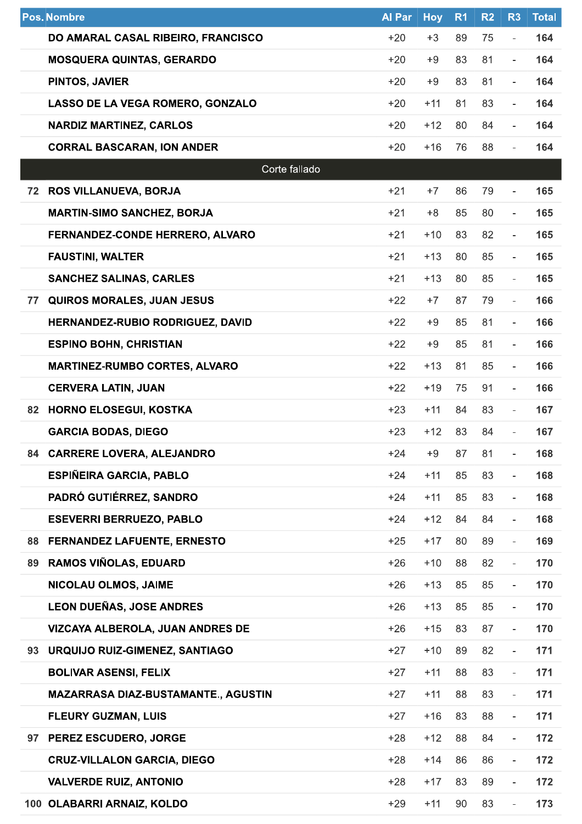|    | <b>Pos. Nombre</b>                         | <b>Al Par</b> | <b>Hoy</b> | R <sub>1</sub> | R <sub>2</sub> | R <sub>3</sub>           | <b>Total</b> |
|----|--------------------------------------------|---------------|------------|----------------|----------------|--------------------------|--------------|
|    | DO AMARAL CASAL RIBEIRO, FRANCISCO         | $+20$         | $+3$       | 89             | 75             | $\bar{a}$                | 164          |
|    | <b>MOSQUERA QUINTAS, GERARDO</b>           | $+20$         | $+9$       | 83             | 81             | $\overline{\phantom{0}}$ | 164          |
|    | PINTOS, JAVIER                             | $+20$         | $+9$       | 83             | 81             | $\overline{\phantom{a}}$ | 164          |
|    | LASSO DE LA VEGA ROMERO, GONZALO           | $+20$         | $+11$      | 81             | 83             | $\overline{\phantom{a}}$ | 164          |
|    | <b>NARDIZ MARTINEZ, CARLOS</b>             | $+20$         | $+12$      | 80             | 84             | $\overline{\phantom{a}}$ | 164          |
|    | <b>CORRAL BASCARAN, ION ANDER</b>          | $+20$         | $+16$      | 76             | 88             | ÷.                       | 164          |
|    | Corte fallado                              |               |            |                |                |                          |              |
| 72 | <b>ROS VILLANUEVA, BORJA</b>               | $+21$         | $+7$       | 86             | 79             | $\overline{\phantom{a}}$ | 165          |
|    | <b>MARTIN-SIMO SANCHEZ, BORJA</b>          | $+21$         | $+8$       | 85             | 80             | $\bar{a}$                | 165          |
|    | FERNANDEZ-CONDE HERRERO, ALVARO            | $+21$         | $+10$      | 83             | 82             | $\overline{\phantom{a}}$ | 165          |
|    | <b>FAUSTINI, WALTER</b>                    | $+21$         | $+13$      | 80             | 85             | $\overline{\phantom{a}}$ | 165          |
|    | <b>SANCHEZ SALINAS, CARLES</b>             | $+21$         | $+13$      | 80             | 85             | $\overline{\phantom{a}}$ | 165          |
| 77 | <b>QUIROS MORALES, JUAN JESUS</b>          | $+22$         | $+7$       | 87             | 79             | $\overline{\phantom{a}}$ | 166          |
|    | HERNANDEZ-RUBIO RODRIGUEZ, DAVID           | $+22$         | $+9$       | 85             | 81             | $\overline{\phantom{a}}$ | 166          |
|    | <b>ESPINO BOHN, CHRISTIAN</b>              | $+22$         | $+9$       | 85             | 81             | $\overline{\phantom{a}}$ | 166          |
|    | <b>MARTINEZ-RUMBO CORTES, ALVARO</b>       | $+22$         | $+13$      | 81             | 85             | $\overline{\phantom{a}}$ | 166          |
|    | <b>CERVERA LATIN, JUAN</b>                 | $+22$         | $+19$      | 75             | 91             | $\overline{a}$           | 166          |
| 82 | <b>HORNO ELOSEGUI, KOSTKA</b>              | $+23$         | $+11$      | 84             | 83             | $\equiv$                 | 167          |
|    | <b>GARCIA BODAS, DIEGO</b>                 | $+23$         | $+12$      | 83             | 84             | $\overline{\phantom{0}}$ | 167          |
|    | 84 CARRERE LOVERA, ALEJANDRO               | $+24$         | $+9$       | 87             | 81             | $\overline{\phantom{0}}$ | 168          |
|    | <b>ESPIÑEIRA GARCIA, PABLO</b>             | $+24$         | $+11$      | 85             | 83             | $\blacksquare$           | 168          |
|    | PADRÓ GUTIÉRREZ, SANDRO                    | +24           | $+11$      | 85             | 83             | $\overline{\phantom{a}}$ | 168          |
|    | <b>ESEVERRI BERRUEZO, PABLO</b>            | $+24$         | $+12$      | 84             | 84             | $\overline{\phantom{a}}$ | 168          |
| 88 | <b>FERNANDEZ LAFUENTE, ERNESTO</b>         | $+25$         | $+17$      | 80             | 89             | $\blacksquare$           | 169          |
| 89 | <b>RAMOS VIÑOLAS, EDUARD</b>               | $+26$         | $+10$      | 88             | 82             | $\overline{\phantom{a}}$ | 170          |
|    | NICOLAU OLMOS, JAIME                       | $+26$         | $+13$      | 85             | 85             | $\overline{\phantom{a}}$ | 170          |
|    | <b>LEON DUEÑAS, JOSE ANDRES</b>            | $+26$         | $+13$      | 85             | 85             | $\overline{\phantom{a}}$ | 170          |
|    | VIZCAYA ALBEROLA, JUAN ANDRES DE           | $+26$         | $+15$      | 83             | 87             | $\blacksquare$           | 170          |
| 93 | <b>URQUIJO RUIZ-GIMENEZ, SANTIAGO</b>      | $+27$         | $+10$      | 89             | 82             | $\overline{\phantom{a}}$ | 171          |
|    | <b>BOLIVAR ASENSI, FELIX</b>               | $+27$         | $+11$      | 88             | 83             | $\overline{\phantom{a}}$ | 171          |
|    | <b>MAZARRASA DIAZ-BUSTAMANTE., AGUSTIN</b> | $+27$         | $+11$      | 88             | 83             | L,                       | 171          |
|    | <b>FLEURY GUZMAN, LUIS</b>                 | $+27$         | $+16$      | 83             | 88             | $\bar{a}$                | 171          |
|    | 97 PEREZ ESCUDERO, JORGE                   | $+28$         | $+12$      | 88             | 84             | $\overline{\phantom{a}}$ | 172          |
|    | <b>CRUZ-VILLALON GARCIA, DIEGO</b>         | $+28$         | $+14$      | 86             | 86             | $\overline{\phantom{0}}$ | 172          |
|    | <b>VALVERDE RUIZ, ANTONIO</b>              | $+28$         | $+17$      | 83             | 89             | $\overline{\phantom{0}}$ | 172          |
|    | 100 OLABARRI ARNAIZ, KOLDO                 | $+29$         | $+11$      | 90             | 83             | $\blacksquare$           | 173          |